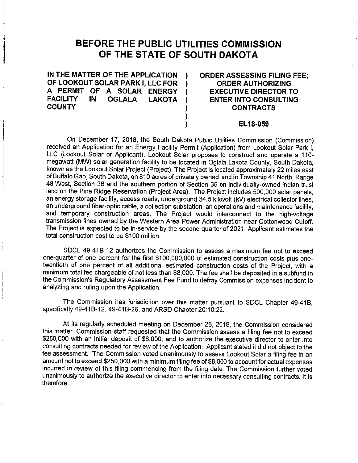## **BEFORE THE PUBLIC UTILITIES COMMISSION OF THE STATE OF SOUTH DAKOTA**

**IN THE MATTER OF THE APPLICATION** ) **OF LOOKOUT SOLAR PARK I, LLC FOR** ) **A PERMIT OF A SOLAR ENERGY** ) **FACILITY IN OGLALA LAKOTA** ) **COUNTY** )

**ORDER ASSESSING FILING FEE; ORDER AUTHORIZING EXECUTIVE DIRECTOR TO ENTER INTO CONSULTING CONTRACTS** 

## **EL18-059**

On December 17, 2018, the South Dakota Public Utilities Commission (Commission) received an Application for an Energy Facility Permit (Application) from Lookout Solar Park I, LLC (Lookout Solar or Applicant). Lookout Solar proposes to construct and operate a 110 megawatt (MW) solar generation facility to be located in Oglala Lakota County, South Dakota, known as the Lookout Solar Project (Project). The Project is located approximately 22 miles east of Buffalo Gap, South Dakota, on 810 acres of privately owned land in Township 41 North, Range 48 West, Section 36 and the southern portion of Section 35 on individually-owned Indian trust land on the Pine Ridge Reservation (Project Area). The Project includes 500,000 solar panels, an energy storage facility, access roads, underground 34.5 kilovolt (kV) electrical collector lines, an underground fiber-optic cable, a collection substation, an operations and maintenance facility, and temporary construction areas. The Project would interconnect to the high-voltage transmission lines owned by the Western Area Power Administration near Cottonwood Cutoff. The Project is expected to be in-service by the second quarter of 2021. Applicant estimates the total construction cost to be \$100 million.

) )

SDCL 49-418-12 authorizes the Commission to assess a maximum fee not to exceed one-quarter of one percent for the first \$100,000,000 of estimated construction costs plus onetwentieth of one percent of all additional estimated construction costs of the Project, with a minimum total fee chargeable of not less than \$8,000. The fee shall be deposited in a subfund in the Commission's Regulatory Assessment Fee Fund to defray Commission expenses incident to analyzing and ruling upon the Application.

The Commission has jurisdiction over this matter pursuant to SDCL Chapter 49-41B, specifically 49-41B-12, 49-418-26, and ARSD Chapter 20:10:22.

At its regularly scheduled meeting on December 28, 2018, the Commission considered this matter. Commission staff requested that the Commission assess a filing fee not to exceed \$250,000 with an initial deposit of \$8,000, and to authorize the executive director to enter into consulting contracts needed for review of the Application. Applicant stated it did not object to the fee assessment. The Commission voted unanimously to assess Lookout Solar a filing fee in an amount not to exceed \$250,000 with a minimum filing fee of \$8,000 to account for actual expenses incurred in review of this filing commencing from the filing date. The Commission further voted unanimously to authorize the executive director to enter into necessary consulting contracts. It is therefore